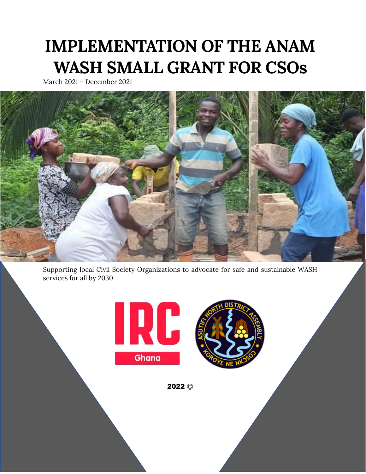# **IMPLEMENTATION OF THE ANAM WASH SMALL GRANT FOR CSOs**

March 2021 – December 2021



Supporting local Civil Society Organizations to advocate for safe and sustainable WASH services for all by 2030





2022 **©**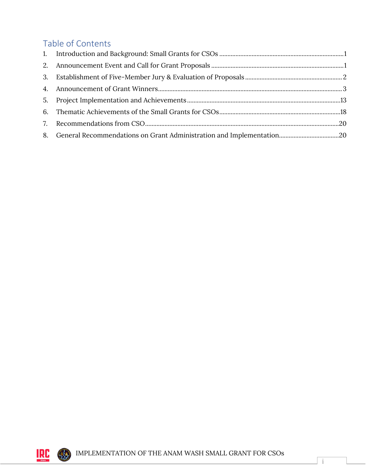## Table of Contents



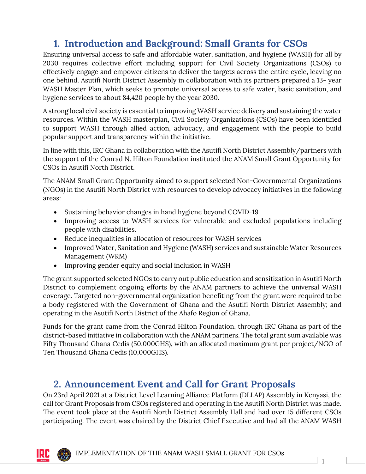## <span id="page-2-0"></span>**1. Introduction and Background: Small Grants for CSOs**

Ensuring universal access to safe and affordable water, sanitation, and hygiene (WASH) for all by 2030 requires collective effort including support for Civil Society Organizations (CSOs) to effectively engage and empower citizens to deliver the targets across the entire cycle, leaving no one behind. Asutifi North District Assembly in collaboration with its partners prepared a 13- year WASH Master Plan, which seeks to promote universal access to safe water, basic sanitation, and hygiene services to about 84,420 people by the year 2030.

A strong local civil society is essential to improving WASH service delivery and sustaining the water resources. Within the WASH masterplan, Civil Society Organizations (CSOs) have been identified to support WASH through allied action, advocacy, and engagement with the people to build popular support and transparency within the initiative.

In line with this, IRC Ghana in collaboration with the Asutifi North District Assembly/partners with the support of the Conrad N. Hilton Foundation instituted the ANAM Small Grant Opportunity for CSOs in Asutifi North District.

The ANAM Small Grant Opportunity aimed to support selected Non-Governmental Organizations (NGOs) in the Asutifi North District with resources to develop advocacy initiatives in the following areas:

- Sustaining behavior changes in hand hygiene beyond COVID-19
- Improving access to WASH services for vulnerable and excluded populations including people with disabilities.
- Reduce inequalities in allocation of resources for WASH services
- Improved Water, Sanitation and Hygiene (WASH) services and sustainable Water Resources Management (WRM)
- Improving gender equity and social inclusion in WASH

The grant supported selected NGOs to carry out public education and sensitization in Asutifi North District to complement ongoing efforts by the ANAM partners to achieve the universal WASH coverage. Targeted non-governmental organization benefiting from the grant were required to be a body registered with the Government of Ghana and the Asutifi North District Assembly; and operating in the Asutifi North District of the Ahafo Region of Ghana.

Funds for the grant came from the Conrad Hilton Foundation, through IRC Ghana as part of the district-based initiative in collaboration with the ANAM partners. The total grant sum available was Fifty Thousand Ghana Cedis (50,000GHS), with an allocated maximum grant per project/NGO of Ten Thousand Ghana Cedis (10,000GHS).

## <span id="page-2-1"></span>**2. Announcement Event and Call for Grant Proposals**

On 23rd April 2021 at a District Level Learning Alliance Platform (DLLAP) Assembly in Kenyasi, the call for Grant Proposals from CSOs registered and operating in the Asutifi North District was made. The event took place at the Asutifi North District Assembly Hall and had over 15 different CSOs participating. The event was chaired by the District Chief Executive and had all the ANAM WASH

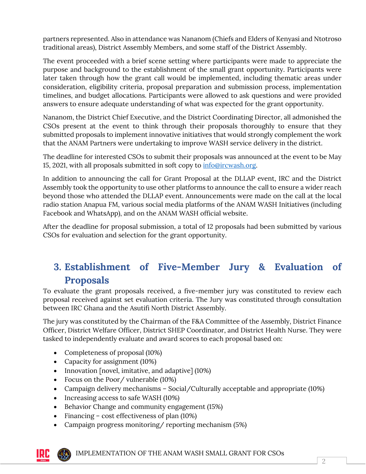partners represented. Also in attendance was Nananom (Chiefs and Elders of Kenyasi and Ntotroso traditional areas), District Assembly Members, and some staff of the District Assembly.

The event proceeded with a brief scene setting where participants were made to appreciate the purpose and background to the establishment of the small grant opportunity. Participants were later taken through how the grant call would be implemented, including thematic areas under consideration, eligibility criteria, proposal preparation and submission process, implementation timelines, and budget allocations. Participants were allowed to ask questions and were provided answers to ensure adequate understanding of what was expected for the grant opportunity.

Nananom, the District Chief Executive, and the District Coordinating Director, all admonished the CSOs present at the event to think through their proposals thoroughly to ensure that they submitted proposals to implement innovative initiatives that would strongly complement the work that the ANAM Partners were undertaking to improve WASH service delivery in the district.

The deadline for interested CSOs to submit their proposals was announced at the event to be May 15, 2021, with all proposals submitted in soft copy to [info@ircwash.org.](mailto:info@ircwash.org) 

In addition to announcing the call for Grant Proposal at the DLLAP event, IRC and the District Assembly took the opportunity to use other platforms to announce the call to ensure a wider reach beyond those who attended the DLLAP event. Announcements were made on the call at the local radio station Anapua FM, various social media platforms of the ANAM WASH Initiatives (including Facebook and WhatsApp), and on the ANAM WASH official website.

After the deadline for proposal submission, a total of 12 proposals had been submitted by various CSOs for evaluation and selection for the grant opportunity.

## <span id="page-3-0"></span>**3. Establishment of Five-Member Jury & Evaluation of Proposals**

To evaluate the grant proposals received, a five-member jury was constituted to review each proposal received against set evaluation criteria. The Jury was constituted through consultation between IRC Ghana and the Asutifi North District Assembly.

The jury was constituted by the Chairman of the F&A Committee of the Assembly, District Finance Officer, District Welfare Officer, District SHEP Coordinator, and District Health Nurse. They were tasked to independently evaluate and award scores to each proposal based on:

- Completeness of proposal (10%)
- Capacity for assignment (10%)
- Innovation [novel, imitative, and adaptive] (10%)
- Focus on the Poor/ vulnerable (10%)
- Campaign delivery mechanisms Social/Culturally acceptable and appropriate (10%)
- Increasing access to safe WASH (10%)
- Behavior Change and community engagement (15%)
- Financing cost effectiveness of plan (10%)
- Campaign progress monitoring/ reporting mechanism (5%)

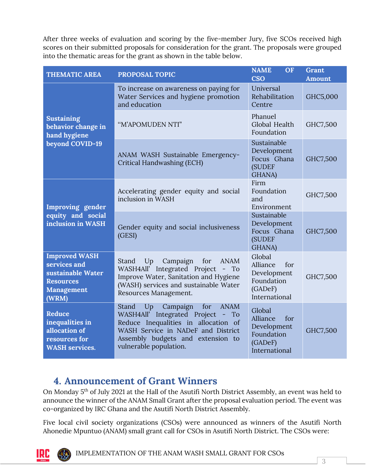After three weeks of evaluation and scoring by the five-member Jury, five SCOs received high scores on their submitted proposals for consideration for the grant. The proposals were grouped into the thematic areas for the grant as shown in the table below.

| <b>THEMATIC AREA</b>                                                                                 | <b>PROPOSAL TOPIC</b>                                                                                                                                                                                                           | <b>NAME</b><br>OF<br><b>CSO</b>                                                    | <b>Grant</b><br><b>Amount</b> |
|------------------------------------------------------------------------------------------------------|---------------------------------------------------------------------------------------------------------------------------------------------------------------------------------------------------------------------------------|------------------------------------------------------------------------------------|-------------------------------|
|                                                                                                      | To increase on awareness on paying for<br>Water Services and hygiene promotion<br>and education                                                                                                                                 | Universal<br>Rehabilitation<br>Centre                                              | GHC5,000                      |
| <b>Sustaining</b><br>behavior change in<br>hand hygiene                                              | "M'APOMUDEN NTI"                                                                                                                                                                                                                | Phanuel<br>Global Health<br>Foundation                                             | GHC7,500                      |
| beyond COVID-19                                                                                      | ANAM WASH Sustainable Emergency-<br>Critical Handwashing (ECH)                                                                                                                                                                  | Sustainable<br>Development<br>Focus Ghana<br>(SUDEF<br>GHANA)                      | GHC7,500                      |
| Improving gender                                                                                     | Accelerating gender equity and social<br>inclusion in WASH                                                                                                                                                                      | Firm<br>Foundation<br>and<br>Environment                                           | GHC7,500                      |
| equity and social<br>inclusion in WASH                                                               | Gender equity and social inclusiveness<br>(GESI)                                                                                                                                                                                | Sustainable<br>Development<br>Focus Ghana<br><b>(SUDEF)</b><br>GHANA)              | GHC7,500                      |
| <b>Improved WASH</b><br>services and<br>sustainable Water<br><b>Resources</b><br>Management<br>(WRM) | Up<br>Campaign<br>for<br><b>ANAM</b><br>Stand<br>WASH4All' Integrated Project<br>$-$ To<br>Improve Water, Sanitation and Hygiene<br>(WASH) services and sustainable Water<br>Resources Management.                              | Global<br>Alliance<br>for<br>Development<br>Foundation<br>(GADeF)<br>International | GHC7,500                      |
| Reduce<br>inequalities in<br>allocation of<br>resources for<br><b>WASH</b> services.                 | Up Campaign<br>for<br><b>ANAM</b><br>Stand<br>WASH4All' Integrated Project -<br>To<br>Reduce Inequalities in allocation of<br>WASH Service in NADeF and District<br>Assembly budgets and extension to<br>vulnerable population. | Global<br>Alliance<br>for<br>Development<br>Foundation<br>(GADeF)<br>International | GHC7,500                      |

#### <span id="page-4-0"></span>**4. Announcement of Grant Winners**

On Monday 5<sup>th</sup> of July 2021 at the Hall of the Asutifi North District Assembly, an event was held to announce the winner of the ANAM Small Grant after the proposal evaluation period. The event was co-organized by IRC Ghana and the Asutifi North District Assembly.

Five local civil society organizations (CSOs) were announced as winners of the Asutifi North Ahonedie Mpuntuo (ANAM) small grant call for CSOs in Asutifi North District. The CSOs were:



IMPLEMENTATION OF THE ANAM WASH SMALL GRANT FOR CSOs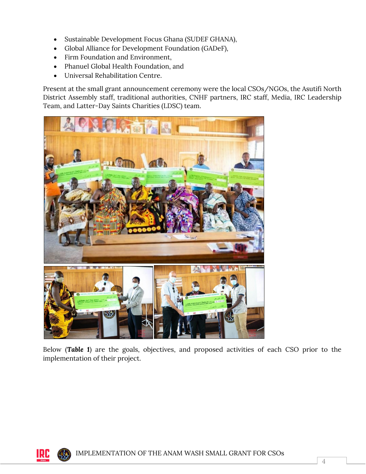- Sustainable Development Focus Ghana (SUDEF GHANA),
- Global Alliance for Development Foundation (GADeF),
- Firm Foundation and Environment,
- Phanuel Global Health Foundation, and
- Universal Rehabilitation Centre.

Present at the small grant announcement ceremony were the local CSOs/NGOs, the Asutifi North District Assembly staff, traditional authorities, CNHF partners, IRC staff, Media, IRC Leadership Team, and Latter-Day Saints Charities (LDSC) team.



Below (*Table 1*) are the goals, objectives, and proposed activities of each CSO prior to the implementation of their project.

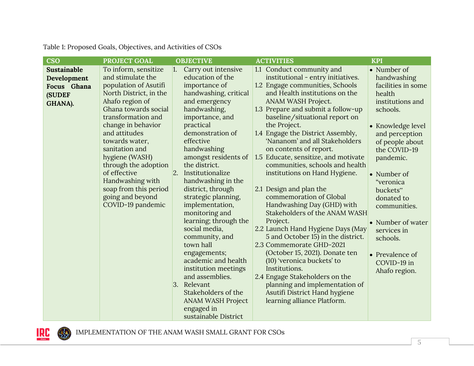|                                                                              | PROJECT GOAL                                                                                                                                                                                                                                                                                                                                                                             |           | <b>OBJECTIVE</b>                                                                                                                                                                                                                                                                                                                                                                                                                                                                                                                                                        | <b>ACTIVITIES</b>                                                                                                                                                                                                                                                                                                                                                                                                                                                                                                                                                                                                                                                                                                                                                                                                                                                                             | <b>KPI</b>                                                                                                                                                                                                                                                                                                                                                 |
|------------------------------------------------------------------------------|------------------------------------------------------------------------------------------------------------------------------------------------------------------------------------------------------------------------------------------------------------------------------------------------------------------------------------------------------------------------------------------|-----------|-------------------------------------------------------------------------------------------------------------------------------------------------------------------------------------------------------------------------------------------------------------------------------------------------------------------------------------------------------------------------------------------------------------------------------------------------------------------------------------------------------------------------------------------------------------------------|-----------------------------------------------------------------------------------------------------------------------------------------------------------------------------------------------------------------------------------------------------------------------------------------------------------------------------------------------------------------------------------------------------------------------------------------------------------------------------------------------------------------------------------------------------------------------------------------------------------------------------------------------------------------------------------------------------------------------------------------------------------------------------------------------------------------------------------------------------------------------------------------------|------------------------------------------------------------------------------------------------------------------------------------------------------------------------------------------------------------------------------------------------------------------------------------------------------------------------------------------------------------|
| CSO<br><b>Sustainable</b><br>Development<br>Focus Ghana<br>(SUDEF<br>GHANA). | To inform, sensitize<br>and stimulate the<br>population of Asutifi<br>North District, in the<br>Ahafo region of<br>Ghana towards social<br>transformation and<br>change in behavior<br>and attitudes<br>towards water,<br>sanitation and<br>hygiene (WASH)<br>through the adoption<br>of effective<br>Handwashing with<br>soap from this period<br>going and beyond<br>COVID-19 pandemic | 1.<br> 2. | Carry out intensive<br>education of the<br>importance of<br>handwashing, critical<br>and emergency<br>handwashing,<br>importance, and<br>practical<br>demonstration of<br>effective<br>handwashing<br>amongst residents of<br>the district.<br>Institutionalize<br>handwashing in the<br>district, through<br>strategic planning,<br>implementation,<br>monitoring and<br>learning; through the<br>social media,<br>community, and<br>town hall<br>engagements;<br>academic and health<br>institution meetings<br>and assemblies.<br>3. Relevant<br>Stakeholders of the | 1.1 Conduct community and<br>institutional - entry initiatives.<br>1.2 Engage communities, Schools<br>and Health institutions on the<br>ANAM WASH Project.<br>1.3 Prepare and submit a follow-up<br>baseline/situational report on<br>the Project.<br>1.4 Engage the District Assembly,<br>'Nananom' and all Stakeholders<br>on contents of report.<br>1.5 Educate, sensitize, and motivate<br>communities, schools and health<br>institutions on Hand Hygiene.<br>2.1 Design and plan the<br>commemoration of Global<br>Handwashing Day (GHD) with<br>Stakeholders of the ANAM WASH<br>Project.<br>2.2 Launch Hand Hygiene Days (May<br>5 and October 15) in the district.<br>2.3 Commemorate GHD-2021<br>(October 15, 2021). Donate ten<br>(10) 'veronica buckets' to<br>Institutions.<br>2.4 Engage Stakeholders on the<br>planning and implementation of<br>Asutifi District Hand hygiene | • Number of<br>handwashing<br>facilities in some<br>health<br>institutions and<br>schools.<br>• Knowledge level<br>and perception<br>of people about<br>the COVID-19<br>pandemic.<br>• Number of<br>"veronica<br>buckets"<br>donated to<br>communities.<br>• Number of water<br>services in<br>schools.<br>• Prevalence of<br>COVID-19 in<br>Ahafo region. |
|                                                                              |                                                                                                                                                                                                                                                                                                                                                                                          |           | <b>ANAM WASH Project</b><br>engaged in                                                                                                                                                                                                                                                                                                                                                                                                                                                                                                                                  | learning alliance Platform.                                                                                                                                                                                                                                                                                                                                                                                                                                                                                                                                                                                                                                                                                                                                                                                                                                                                   |                                                                                                                                                                                                                                                                                                                                                            |

sustainable District

Table 1: Proposed Goals, Objectives, and Activities of CSOs

IMPLEMENTATION OF THE ANAM WASH SMALL GRANT FOR CSOs

**IRC**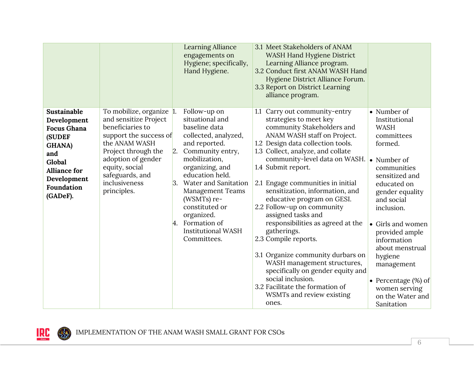|                                                                                                                                                                      |                                                                                                                                                                                                                                    | <b>Learning Alliance</b><br>engagements on<br>Hygiene; specifically,<br>Hand Hygiene.                                                                                                                                                                                                                                                       | 3.1 Meet Stakeholders of ANAM<br>WASH Hand Hygiene District<br>Learning Alliance program.<br>3.2 Conduct first ANAM WASH Hand<br>Hygiene District Alliance Forum.<br>3.3 Report on District Learning<br>alliance program.                                                                                                                                                                                                                                                                                                                                                                                                                                                                          |                                                                                                                                                                                                                                                                                                                                                                   |
|----------------------------------------------------------------------------------------------------------------------------------------------------------------------|------------------------------------------------------------------------------------------------------------------------------------------------------------------------------------------------------------------------------------|---------------------------------------------------------------------------------------------------------------------------------------------------------------------------------------------------------------------------------------------------------------------------------------------------------------------------------------------|----------------------------------------------------------------------------------------------------------------------------------------------------------------------------------------------------------------------------------------------------------------------------------------------------------------------------------------------------------------------------------------------------------------------------------------------------------------------------------------------------------------------------------------------------------------------------------------------------------------------------------------------------------------------------------------------------|-------------------------------------------------------------------------------------------------------------------------------------------------------------------------------------------------------------------------------------------------------------------------------------------------------------------------------------------------------------------|
| Sustainable<br>Development<br><b>Focus Ghana</b><br><b>(SUDEF</b><br><b>GHANA</b> )<br>and<br>Global<br><b>Alliance for</b><br>Development<br>Foundation<br>(GADeF). | To mobilize, organize 1.<br>and sensitize Project<br>beneficiaries to<br>support the success of<br>the ANAM WASH<br>Project through the<br>adoption of gender<br>equity, social<br>safeguards, and<br>inclusiveness<br>principles. | Follow-up on<br>situational and<br>baseline data<br>collected, analyzed,<br>and reported.<br>2. Community entry,<br>mobilization,<br>organizing, and<br>education held.<br>3. Water and Sanitation<br><b>Management Teams</b><br>(WSMTs) re-<br>constituted or<br>organized.<br>4. Formation of<br><b>Institutional WASH</b><br>Committees. | 1.1 Carry out community-entry<br>strategies to meet key<br>community Stakeholders and<br>ANAM WASH staff on Project.<br>1.2 Design data collection tools.<br>1.3 Collect, analyze, and collate<br>community-level data on WASH.<br>1.4 Submit report.<br>2.1 Engage communities in initial<br>sensitization, information, and<br>educative program on GESI.<br>2.2 Follow-up on community<br>assigned tasks and<br>responsibilities as agreed at the<br>gatherings.<br>2.3 Compile reports.<br>3.1 Organize community durbars on<br>WASH management structures,<br>specifically on gender equity and<br>social inclusion.<br>3.2 Facilitate the formation of<br>WSMTs and review existing<br>ones. | • Number of<br>Institutional<br><b>WASH</b><br>committees<br>formed.<br>• Number of<br>communities<br>sensitized and<br>educated on<br>gender equality<br>and social<br>inclusion.<br>• Girls and women<br>provided ample<br>information<br>about menstrual<br>hygiene<br>management<br>• Percentage $(\%)$ of<br>women serving<br>on the Water and<br>Sanitation |

**IRE**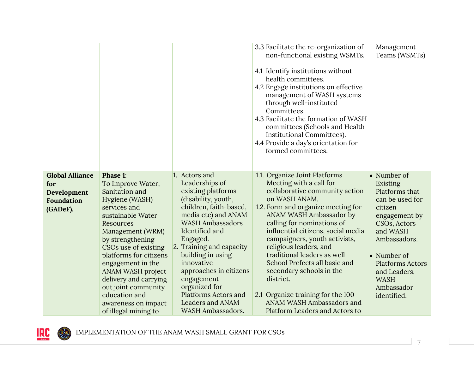|                                                                        |                                                                                                                                                                                                                                                                                                                                                                         |                                                                                                                                                                                                                                                                                                                                                                                                      | 3.3 Facilitate the re-organization of<br>non-functional existing WSMTs.<br>4.1 Identify institutions without<br>health committees.<br>4.2 Engage institutions on effective<br>management of WASH systems<br>through well-instituted<br>Committees.<br>4.3 Facilitate the formation of WASH<br>committees (Schools and Health<br>Institutional Committees).<br>4.4 Provide a day's orientation for<br>formed committees.                                                                                                  | Management<br>Teams (WSMTs)                                                                                                                                                                                                                |
|------------------------------------------------------------------------|-------------------------------------------------------------------------------------------------------------------------------------------------------------------------------------------------------------------------------------------------------------------------------------------------------------------------------------------------------------------------|------------------------------------------------------------------------------------------------------------------------------------------------------------------------------------------------------------------------------------------------------------------------------------------------------------------------------------------------------------------------------------------------------|--------------------------------------------------------------------------------------------------------------------------------------------------------------------------------------------------------------------------------------------------------------------------------------------------------------------------------------------------------------------------------------------------------------------------------------------------------------------------------------------------------------------------|--------------------------------------------------------------------------------------------------------------------------------------------------------------------------------------------------------------------------------------------|
| <b>Global Alliance</b><br>for<br>Development<br>Foundation<br>(GADeF). | Phase 1:<br>To Improve Water,<br>Sanitation and<br>Hygiene (WASH)<br>services and<br>sustainable Water<br>Resources<br>Management (WRM)<br>by strengthening<br>CSOs use of existing<br>platforms for citizens<br>engagement in the<br>ANAM WASH project<br>delivery and carrying<br>out joint community<br>education and<br>awareness on impact<br>of illegal mining to | 1. Actors and<br>Leaderships of<br>existing platforms<br>(disability, youth,<br>children, faith-based,<br>media etc) and ANAM<br><b>WASH Ambassadors</b><br>Identified and<br>Engaged.<br>2. Training and capacity<br>building in using<br>innovative<br>approaches in citizens<br>engagement<br>organized for<br><b>Platforms Actors and</b><br><b>Leaders and ANAM</b><br><b>WASH Ambassadors.</b> | 1.1. Organize Joint Platforms<br>Meeting with a call for<br>collaborative community action<br>on WASH ANAM.<br>1.2. Form and organize meeting for<br>ANAM WASH Ambassador by<br>calling for nominations of<br>influential citizens, social media<br>campaigners, youth activists,<br>religious leaders, and<br>traditional leaders as well<br>School Prefects all basic and<br>secondary schools in the<br>district.<br>2.1 Organize training for the 100<br>ANAM WASH Ambassadors and<br>Platform Leaders and Actors to | • Number of<br>Existing<br>Platforms that<br>can be used for<br>citizen<br>engagement by<br>CSOs, Actors<br>and WASH<br>Ambassadors.<br>• Number of<br><b>Platforms Actors</b><br>and Leaders,<br><b>WASH</b><br>Ambassador<br>identified. |

IMPLEMENTATION OF THE ANAM WASH SMALL GRANT FOR CSOs

**IRC** 

RES.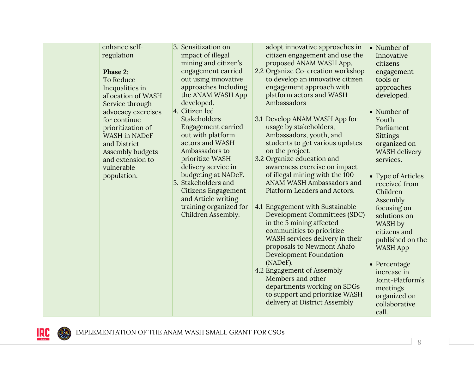RES.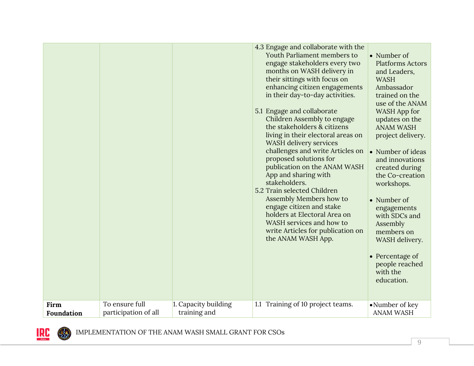|            |                      |                      | 4.3 Engage and collaborate with the<br>Youth Parliament members to<br>engage stakeholders every two<br>months on WASH delivery in<br>their sittings with focus on<br>enhancing citizen engagements<br>in their day-to-day activities.<br>5.1 Engage and collaborate<br>Children Assembly to engage<br>the stakeholders & citizens<br>living in their electoral areas on<br>WASH delivery services<br>challenges and write Articles on<br>proposed solutions for<br>publication on the ANAM WASH<br>App and sharing with<br>stakeholders.<br>5.2 Train selected Children<br>Assembly Members how to<br>engage citizen and stake<br>holders at Electoral Area on<br>WASH services and how to<br>write Articles for publication on<br>the ANAM WASH App. | • Number of<br><b>Platforms Actors</b><br>and Leaders,<br><b>WASH</b><br>Ambassador<br>trained on the<br>use of the ANAM<br>WASH App for<br>updates on the<br><b>ANAM WASH</b><br>project delivery.<br>• Number of ideas<br>and innovations<br>created during<br>the Co-creation<br>workshops.<br>• Number of<br>engagements<br>with SDCs and<br>Assembly<br>members on<br>WASH delivery.<br>• Percentage of<br>people reached<br>with the<br>education. |
|------------|----------------------|----------------------|-------------------------------------------------------------------------------------------------------------------------------------------------------------------------------------------------------------------------------------------------------------------------------------------------------------------------------------------------------------------------------------------------------------------------------------------------------------------------------------------------------------------------------------------------------------------------------------------------------------------------------------------------------------------------------------------------------------------------------------------------------|----------------------------------------------------------------------------------------------------------------------------------------------------------------------------------------------------------------------------------------------------------------------------------------------------------------------------------------------------------------------------------------------------------------------------------------------------------|
| Firm       | To ensure full       | 1. Capacity building | 1.1 Training of 10 project teams.                                                                                                                                                                                                                                                                                                                                                                                                                                                                                                                                                                                                                                                                                                                     | • Number of key                                                                                                                                                                                                                                                                                                                                                                                                                                          |
| Foundation | participation of all | training and         |                                                                                                                                                                                                                                                                                                                                                                                                                                                                                                                                                                                                                                                                                                                                                       | <b>ANAM WASH</b>                                                                                                                                                                                                                                                                                                                                                                                                                                         |

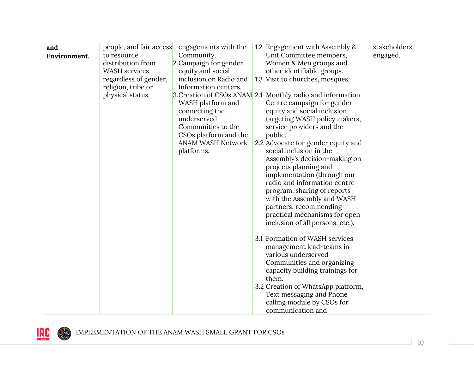| and          | people, and fair access | engagements with the     | 1.2 Engagement with Assembly &                             | stakeholders |
|--------------|-------------------------|--------------------------|------------------------------------------------------------|--------------|
| Environment. | to resource             | Community.               | Unit Committee members,                                    | engaged.     |
|              | distribution from       | 2. Campaign for gender   | Women & Men groups and                                     |              |
|              | WASH services           | equity and social        | other identifiable groups.                                 |              |
|              | regardless of gender,   | inclusion on Radio and   | 1.3 Visit to churches, mosques.                            |              |
|              | religion, tribe or      | Information centers.     |                                                            |              |
|              | physical status.        |                          | 3. Creation of CSOs ANAM 2.1 Monthly radio and information |              |
|              |                         | WASH platform and        | Centre campaign for gender                                 |              |
|              |                         | connecting the           | equity and social inclusion                                |              |
|              |                         | underserved              | targeting WASH policy makers,                              |              |
|              |                         | Communities to the       | service providers and the                                  |              |
|              |                         | CSOs platform and the    | public.                                                    |              |
|              |                         | <b>ANAM WASH Network</b> | 2.2 Advocate for gender equity and                         |              |
|              |                         | platforms.               | social inclusion in the                                    |              |
|              |                         |                          | Assembly's decision-making on                              |              |
|              |                         |                          | projects planning and                                      |              |
|              |                         |                          | implementation (through our                                |              |
|              |                         |                          | radio and information centre                               |              |
|              |                         |                          | program, sharing of reports                                |              |
|              |                         |                          | with the Assembly and WASH                                 |              |
|              |                         |                          | partners, recommending                                     |              |
|              |                         |                          | practical mechanisms for open                              |              |
|              |                         |                          | inclusion of all persons, etc.).                           |              |
|              |                         |                          | 3.1 Formation of WASH services                             |              |
|              |                         |                          |                                                            |              |
|              |                         |                          | management lead-teams in<br>various underserved            |              |
|              |                         |                          | Communities and organizing                                 |              |
|              |                         |                          | capacity building trainings for                            |              |
|              |                         |                          | them.                                                      |              |
|              |                         |                          | 3.2 Creation of WhatsApp platform,                         |              |
|              |                         |                          | Text messaging and Phone                                   |              |
|              |                         |                          | calling module by CSOs for                                 |              |
|              |                         |                          | communication and                                          |              |

**IRE**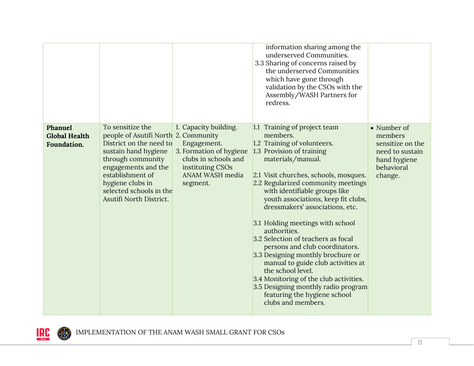|                                                |                                                                                                                                                                                                                                                       |                                                                                                                                            | information sharing among the<br>underserved Communities.<br>3.3 Sharing of concerns raised by<br>the underserved Communities<br>which have gone through<br>validation by the CSOs with the<br>Assembly/WASH Partners for<br>redress.                                                                                                                                                                                                                                                                                                                                                                                                                                                  |                                                                                                        |
|------------------------------------------------|-------------------------------------------------------------------------------------------------------------------------------------------------------------------------------------------------------------------------------------------------------|--------------------------------------------------------------------------------------------------------------------------------------------|----------------------------------------------------------------------------------------------------------------------------------------------------------------------------------------------------------------------------------------------------------------------------------------------------------------------------------------------------------------------------------------------------------------------------------------------------------------------------------------------------------------------------------------------------------------------------------------------------------------------------------------------------------------------------------------|--------------------------------------------------------------------------------------------------------|
| Phanuel<br><b>Global Health</b><br>Foundation. | To sensitize the<br>people of Asutifi North 2. Community<br>District on the need to<br>sustain hand hygiene<br>through community<br>engagements and the<br>establishment of<br>hygiene clubs in<br>selected schools in the<br>Asutifi North District. | 1. Capacity building.<br>Engagement.<br>3. Formation of hygiene<br>clubs in schools and<br>instituting CSOs<br>ANAM WASH media<br>segment. | 1.1 Training of project team<br>members.<br>1.2 Training of volunteers.<br>1.3 Provision of training<br>materials/manual.<br>2.1 Visit churches, schools, mosques.<br>2.2 Regularized community meetings<br>with identifiable groups like<br>youth associations, keep fit clubs,<br>dressmakers' associations, etc.<br>3.1 Holding meetings with school<br>authorities.<br>3.2 Selection of teachers as focal<br>persons and club coordinators.<br>3.3 Designing monthly brochure or<br>manual to guide club activities at<br>the school level.<br>3.4 Monitoring of the club activities.<br>3.5 Designing monthly radio program<br>featuring the hygiene school<br>clubs and members. | • Number of<br>members<br>sensitize on the<br>need to sustain<br>hand hygiene<br>behavioral<br>change. |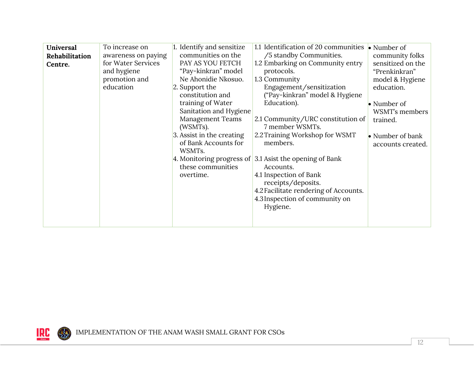| Universal<br>Rehabilitation<br>Centre.<br>education | To increase on<br>awareness on paying<br>for Water Services<br>and hygiene<br>promotion and<br>2. Support the<br>(WSMTs).<br>WSMTs.<br>overtime. | 1. Identify and sensitize<br>communities on the<br>PAY AS YOU FETCH<br>"Pay-kinkran" model<br>Ne Ahonidie Nkosuo.<br>constitution and<br>training of Water<br>Sanitation and Hygiene<br><b>Management Teams</b><br>3. Assist in the creating<br>of Bank Accounts for<br>these communities | 1.1 Identification of 20 communities<br>/5 standby Communities.<br>1.2 Embarking on Community entry<br>protocols.<br>1.3 Community<br>Engagement/sensitization<br>("Pay-kinkran" model & Hygiene<br>Education).<br>2.1 Community/URC constitution of<br>7 member WSMTs.<br>2.2 Training Workshop for WSMT<br>members.<br>4. Monitoring progress of $\vert$ 3.1 Asist the opening of Bank<br>Accounts.<br>4.1 Inspection of Bank<br>receipts/deposits.<br>4.2 Facilitate rendering of Accounts.<br>4.3 Inspection of community on<br>Hygiene. | $\bullet$ Number of<br>community folks<br>sensitized on the<br>"Prenkinkran"<br>model & Hygiene<br>education.<br>$\bullet$ Number of<br>WSMT's members<br>trained.<br>• Number of bank<br>accounts created. |
|-----------------------------------------------------|--------------------------------------------------------------------------------------------------------------------------------------------------|-------------------------------------------------------------------------------------------------------------------------------------------------------------------------------------------------------------------------------------------------------------------------------------------|----------------------------------------------------------------------------------------------------------------------------------------------------------------------------------------------------------------------------------------------------------------------------------------------------------------------------------------------------------------------------------------------------------------------------------------------------------------------------------------------------------------------------------------------|-------------------------------------------------------------------------------------------------------------------------------------------------------------------------------------------------------------|
|-----------------------------------------------------|--------------------------------------------------------------------------------------------------------------------------------------------------|-------------------------------------------------------------------------------------------------------------------------------------------------------------------------------------------------------------------------------------------------------------------------------------------|----------------------------------------------------------------------------------------------------------------------------------------------------------------------------------------------------------------------------------------------------------------------------------------------------------------------------------------------------------------------------------------------------------------------------------------------------------------------------------------------------------------------------------------------|-------------------------------------------------------------------------------------------------------------------------------------------------------------------------------------------------------------|

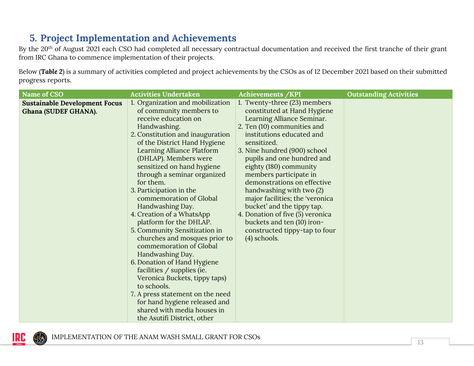# **5. Project Implementation and Achievements**

By the 20<sup>th</sup> of August 2021 each CSO had completed all necessary contractual documentation and received the first tranche of their grant from IRC Ghana to commence implementation of their projects.

Below (*Table 2*) is a summary of activities completed and project achievements by the CSOs as of 12 December 2021 based on their submitted progress reports.

<span id="page-14-0"></span>

| Name of CSO                          | <b>Activities Undertaken</b>                       | Achievements / KPI                                            | <b>Outstanding Activities</b> |
|--------------------------------------|----------------------------------------------------|---------------------------------------------------------------|-------------------------------|
| <b>Sustainable Development Focus</b> | 1. Organization and mobilization                   | 1. Twenty-three (23) members                                  |                               |
| Ghana (SUDEF GHANA).                 | of community members to                            | constituted at Hand Hygiene                                   |                               |
|                                      | receive education on                               | Learning Alliance Seminar.                                    |                               |
|                                      | Handwashing.                                       | 2. Ten (10) communities and                                   |                               |
|                                      | 2. Constitution and inauguration                   | institutions educated and                                     |                               |
|                                      | of the District Hand Hygiene                       | sensitized.                                                   |                               |
|                                      | Learning Alliance Platform                         | 3. Nine hundred (900) school                                  |                               |
|                                      | (DHLAP). Members were                              | pupils and one hundred and                                    |                               |
|                                      | sensitized on hand hygiene                         | eighty (180) community                                        |                               |
|                                      | through a seminar organized<br>for them.           | members participate in<br>demonstrations on effective         |                               |
|                                      |                                                    |                                                               |                               |
|                                      | 3. Participation in the<br>commemoration of Global | handwashing with two (2)                                      |                               |
|                                      |                                                    | major facilities; the 'veronica<br>bucket' and the tippy tap. |                               |
|                                      | Handwashing Day.<br>4. Creation of a WhatsApp      | 4. Donation of five (5) veronica                              |                               |
|                                      | platform for the DHLAP.                            | buckets and ten (10) iron-                                    |                               |
|                                      | 5. Community Sensitization in                      | constructed tippy-tap to four                                 |                               |
|                                      | churches and mosques prior to                      | $(4)$ schools.                                                |                               |
|                                      | commemoration of Global                            |                                                               |                               |
|                                      | Handwashing Day.                                   |                                                               |                               |
|                                      | 6. Donation of Hand Hygiene                        |                                                               |                               |
|                                      | facilities / supplies (ie.                         |                                                               |                               |
|                                      | Veronica Buckets, tippy taps)                      |                                                               |                               |
|                                      | to schools.                                        |                                                               |                               |
|                                      | 7. A press statement on the need                   |                                                               |                               |
|                                      | for hand hygiene released and                      |                                                               |                               |
|                                      | shared with media houses in                        |                                                               |                               |
|                                      | the Asutifi District, other                        |                                                               |                               |

IMPLEMENTATION OF THE ANAM WASH SMALL GRANT FOR CSOs

IRC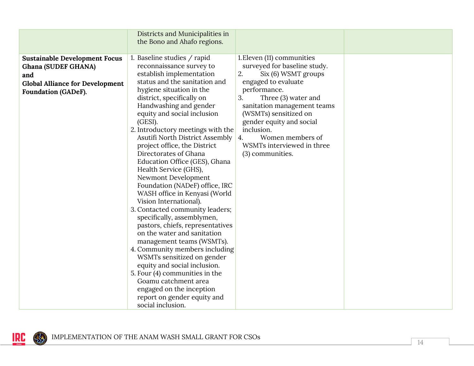|                                                                                                                                                   | Districts and Municipalities in<br>the Bono and Ahafo regions.                                                                                                                                                                                                                                                                                                                                                                                                                                                                                                                                                                                                                                                                                                                                                                                                                                                                                                              |                                                                                                                                                                                                                                                                                                                                           |  |
|---------------------------------------------------------------------------------------------------------------------------------------------------|-----------------------------------------------------------------------------------------------------------------------------------------------------------------------------------------------------------------------------------------------------------------------------------------------------------------------------------------------------------------------------------------------------------------------------------------------------------------------------------------------------------------------------------------------------------------------------------------------------------------------------------------------------------------------------------------------------------------------------------------------------------------------------------------------------------------------------------------------------------------------------------------------------------------------------------------------------------------------------|-------------------------------------------------------------------------------------------------------------------------------------------------------------------------------------------------------------------------------------------------------------------------------------------------------------------------------------------|--|
| <b>Sustainable Development Focus</b><br><b>Ghana (SUDEF GHANA)</b><br>and<br><b>Global Alliance for Development</b><br><b>Foundation (GADeF).</b> | 1. Baseline studies / rapid<br>reconnaissance survey to<br>establish implementation<br>status and the sanitation and<br>hygiene situation in the<br>district, specifically on<br>Handwashing and gender<br>equity and social inclusion<br>(GESI).<br>2. Introductory meetings with the<br>Asutifi North District Assembly<br>project office, the District<br>Directorates of Ghana<br>Education Office (GES), Ghana<br>Health Service (GHS),<br>Newmont Development<br>Foundation (NADeF) office, IRC<br>WASH office in Kenyasi (World<br>Vision International).<br>3. Contacted community leaders;<br>specifically, assemblymen,<br>pastors, chiefs, representatives<br>on the water and sanitation<br>management teams (WSMTs).<br>4. Community members including<br>WSMTs sensitized on gender<br>equity and social inclusion.<br>5. Four (4) communities in the<br>Goamu catchment area<br>engaged on the inception<br>report on gender equity and<br>social inclusion. | 1. Eleven (11) communities<br>surveyed for baseline study.<br>2.<br>Six (6) WSMT groups<br>engaged to evaluate<br>performance.<br>Three (3) water and<br>3.<br>sanitation management teams<br>(WSMTs) sensitized on<br>gender equity and social<br>inclusion.<br>Women members of<br>4.<br>WSMTs interviewed in three<br>(3) communities. |  |

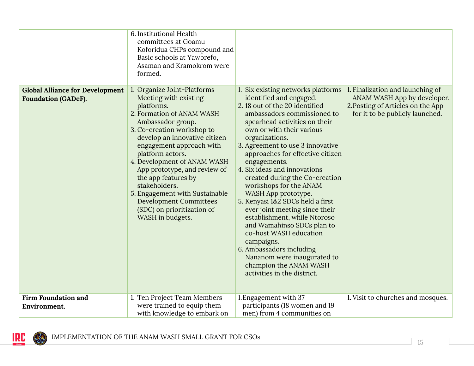|                                                                      | 6. Institutional Health<br>committees at Goamu<br>Koforidua CHPs compound and<br>Basic schools at Yawbrefo,<br>Asaman and Kramokrom were<br>formed.                                                                                                                                                                                                                                                                                                          |                                                                                                                                                                                                                                                                                                                                                                                                                                                                                                                                                                                                                                                                                                                          |                                                                                                                                         |
|----------------------------------------------------------------------|--------------------------------------------------------------------------------------------------------------------------------------------------------------------------------------------------------------------------------------------------------------------------------------------------------------------------------------------------------------------------------------------------------------------------------------------------------------|--------------------------------------------------------------------------------------------------------------------------------------------------------------------------------------------------------------------------------------------------------------------------------------------------------------------------------------------------------------------------------------------------------------------------------------------------------------------------------------------------------------------------------------------------------------------------------------------------------------------------------------------------------------------------------------------------------------------------|-----------------------------------------------------------------------------------------------------------------------------------------|
| <b>Global Alliance for Development</b><br><b>Foundation (GADeF).</b> | Organize Joint-Platforms<br>Meeting with existing<br>platforms.<br>2. Formation of ANAM WASH<br>Ambassador group.<br>3. Co-creation workshop to<br>develop an innovative citizen<br>engagement approach with<br>platform actors.<br>4. Development of ANAM WASH<br>App prototype, and review of<br>the app features by<br>stakeholders.<br>5. Engagement with Sustainable<br><b>Development Committees</b><br>(SDC) on prioritization of<br>WASH in budgets. | 1. Six existing networks platforms<br>identified and engaged.<br>2.18 out of the 20 identified<br>ambassadors commissioned to<br>spearhead activities on their<br>own or with their various<br>organizations.<br>3. Agreement to use 3 innovative<br>approaches for effective citizen<br>engagements.<br>4. Six ideas and innovations<br>created during the Co-creation<br>workshops for the ANAM<br>WASH App prototype.<br>5. Kenyasi 1&2 SDCs held a first<br>ever joint meeting since their<br>establishment, while Ntoroso<br>and Wamahinso SDCs plan to<br>co-host WASH education<br>campaigns.<br>6. Ambassadors including<br>Nananom were inaugurated to<br>champion the ANAM WASH<br>activities in the district. | 1. Finalization and launching of<br>ANAM WASH App by developer.<br>2. Posting of Articles on the App<br>for it to be publicly launched. |
| <b>Firm Foundation and</b><br>Environment.                           | 1. Ten Project Team Members<br>were trained to equip them<br>with knowledge to embark on                                                                                                                                                                                                                                                                                                                                                                     | 1. Engagement with 37<br>participants (18 women and 19<br>men) from 4 communities on                                                                                                                                                                                                                                                                                                                                                                                                                                                                                                                                                                                                                                     | 1. Visit to churches and mosques.                                                                                                       |

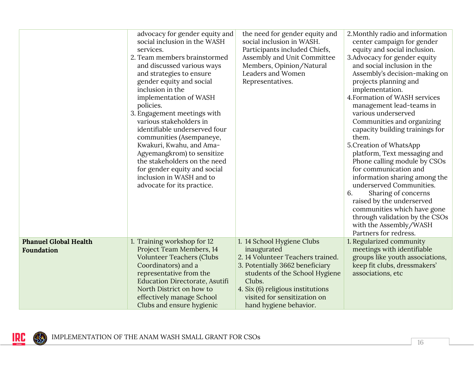|                                                   | advocacy for gender equity and<br>social inclusion in the WASH<br>services.<br>2. Team members brainstormed<br>and discussed various ways<br>and strategies to ensure<br>gender equity and social<br>inclusion in the<br>implementation of WASH<br>policies.<br>3. Engagement meetings with<br>various stakeholders in<br>identifiable underserved four<br>communities (Asempaneye,<br>Kwakuri, Kwahu, and Ama-<br>Agyemangkrom) to sensitize<br>the stakeholders on the need<br>for gender equity and social<br>inclusion in WASH and to<br>advocate for its practice. | the need for gender equity and<br>social inclusion in WASH.<br>Participants included Chiefs,<br>Assembly and Unit Committee<br>Members, Opinion/Natural<br>Leaders and Women<br>Representatives.                                                             | 2. Monthly radio and information<br>center campaign for gender<br>equity and social inclusion.<br>3. Advocacy for gender equity<br>and social inclusion in the<br>Assembly's decision-making on<br>projects planning and<br>implementation.<br>4. Formation of WASH services<br>management lead-teams in<br>various underserved<br>Communities and organizing<br>capacity building trainings for<br>them.<br>5. Creation of WhatsApp<br>platform, Text messaging and<br>Phone calling module by CSOs<br>for communication and<br>information sharing among the<br>underserved Communities.<br>Sharing of concerns<br>6.<br>raised by the underserved<br>communities which have gone |
|---------------------------------------------------|-------------------------------------------------------------------------------------------------------------------------------------------------------------------------------------------------------------------------------------------------------------------------------------------------------------------------------------------------------------------------------------------------------------------------------------------------------------------------------------------------------------------------------------------------------------------------|--------------------------------------------------------------------------------------------------------------------------------------------------------------------------------------------------------------------------------------------------------------|-------------------------------------------------------------------------------------------------------------------------------------------------------------------------------------------------------------------------------------------------------------------------------------------------------------------------------------------------------------------------------------------------------------------------------------------------------------------------------------------------------------------------------------------------------------------------------------------------------------------------------------------------------------------------------------|
|                                                   |                                                                                                                                                                                                                                                                                                                                                                                                                                                                                                                                                                         |                                                                                                                                                                                                                                                              | through validation by the CSOs<br>with the Assembly/WASH<br>Partners for redress.                                                                                                                                                                                                                                                                                                                                                                                                                                                                                                                                                                                                   |
| <b>Phanuel Global Health</b><br><b>Foundation</b> | 1. Training workshop for 12<br>Project Team Members, 14<br><b>Volunteer Teachers (Clubs</b><br>Coordinators) and a<br>representative from the<br><b>Education Directorate, Asutifi</b><br>North District on how to<br>effectively manage School<br>Clubs and ensure hygienic                                                                                                                                                                                                                                                                                            | 1. 14 School Hygiene Clubs<br>inaugurated<br>2. 14 Volunteer Teachers trained.<br>3. Potentially 3662 beneficiary<br>students of the School Hygiene<br>Clubs.<br>4. Six (6) religious institutions<br>visited for sensitization on<br>hand hygiene behavior. | 1. Regularized community<br>meetings with identifiable<br>groups like youth associations,<br>keep fit clubs, dressmakers'<br>associations, etc                                                                                                                                                                                                                                                                                                                                                                                                                                                                                                                                      |

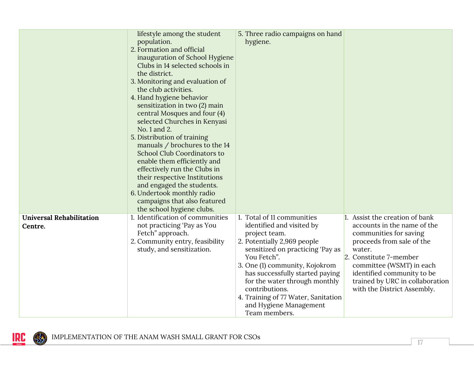|                                            | lifestyle among the student<br>population.<br>2. Formation and official<br>inauguration of School Hygiene<br>Clubs in 14 selected schools in<br>the district.<br>3. Monitoring and evaluation of<br>the club activities.<br>4. Hand hygiene behavior<br>sensitization in two (2) main<br>central Mosques and four (4)<br>selected Churches in Kenyasi<br>No. 1 and 2.<br>5. Distribution of training<br>manuals / brochures to the 14<br>School Club Coordinators to<br>enable them efficiently and<br>effectively run the Clubs in<br>their respective Institutions<br>and engaged the students.<br>6. Undertook monthly radio<br>campaigns that also featured<br>the school hygiene clubs. | 5. Three radio campaigns on hand<br>hygiene.                                                                                                                                                                                                                                                                                                                         |                                                                                                                                                                                                                                                                                      |
|--------------------------------------------|----------------------------------------------------------------------------------------------------------------------------------------------------------------------------------------------------------------------------------------------------------------------------------------------------------------------------------------------------------------------------------------------------------------------------------------------------------------------------------------------------------------------------------------------------------------------------------------------------------------------------------------------------------------------------------------------|----------------------------------------------------------------------------------------------------------------------------------------------------------------------------------------------------------------------------------------------------------------------------------------------------------------------------------------------------------------------|--------------------------------------------------------------------------------------------------------------------------------------------------------------------------------------------------------------------------------------------------------------------------------------|
| <b>Universal Rehabilitation</b><br>Centre. | 1. Identification of communities<br>not practicing 'Pay as You<br>Fetch" approach.<br>2. Community entry, feasibility<br>study, and sensitization.                                                                                                                                                                                                                                                                                                                                                                                                                                                                                                                                           | 1. Total of 11 communities<br>identified and visited by<br>project team.<br>2. Potentially 2,969 people<br>sensitized on practicing 'Pay as<br>You Fetch".<br>3. One (1) community, Kojokrom<br>has successfully started paying<br>for the water through monthly<br>contributions.<br>4. Training of 77 Water, Sanitation<br>and Hygiene Management<br>Team members. | 1. Assist the creation of bank<br>accounts in the name of the<br>communities for saving<br>proceeds from sale of the<br>water.<br>2. Constitute 7-member<br>committee (WSMT) in each<br>identified community to be<br>trained by URC in collaboration<br>with the District Assembly. |

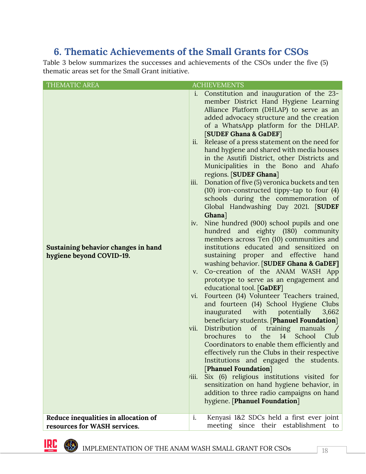## <span id="page-19-0"></span>**6. Thematic Achievements of the Small Grants for CSOs**

Table 3 below summarizes the successes and achievements of the CSOs under the five (5) thematic areas set for the Small Grant initiative.

| THEMATIC AREA                                                        | <b>ACHIEVEMENTS</b>                                                                                                                                                                                                                                                                                                                                                                                                                                                                                                                                                                                                                                                                                                                                                                                                                                                                                                                                                                                                                                                                                                                                                                                                                                                                                                                                                                                                                                                                                                                                                                                                                                                                                     |
|----------------------------------------------------------------------|---------------------------------------------------------------------------------------------------------------------------------------------------------------------------------------------------------------------------------------------------------------------------------------------------------------------------------------------------------------------------------------------------------------------------------------------------------------------------------------------------------------------------------------------------------------------------------------------------------------------------------------------------------------------------------------------------------------------------------------------------------------------------------------------------------------------------------------------------------------------------------------------------------------------------------------------------------------------------------------------------------------------------------------------------------------------------------------------------------------------------------------------------------------------------------------------------------------------------------------------------------------------------------------------------------------------------------------------------------------------------------------------------------------------------------------------------------------------------------------------------------------------------------------------------------------------------------------------------------------------------------------------------------------------------------------------------------|
| Sustaining behavior changes in hand<br>hygiene beyond COVID-19.      | i. Constitution and inauguration of the 23-<br>member District Hand Hygiene Learning<br>Alliance Platform (DHLAP) to serve as an<br>added advocacy structure and the creation<br>of a WhatsApp platform for the DHLAP.<br>[SUDEF Ghana & GaDEF]<br>Release of a press statement on the need for<br>ii.<br>hand hygiene and shared with media houses<br>in the Asutifi District, other Districts and<br>Municipalities in the Bono and Ahafo<br>regions. [SUDEF Ghana]<br>Donation of five (5) veronica buckets and ten<br>iii.<br>$(10)$ iron-constructed tippy-tap to four $(4)$<br>schools during the commemoration of<br>Global Handwashing Day 2021. [SUDEF<br>Ghana]<br>Nine hundred (900) school pupils and one<br>iv.<br>hundred and eighty (180) community<br>members across Ten (10) communities and<br>institutions educated and sensitized on<br>sustaining proper and effective hand<br>washing behavior. [SUDEF Ghana & GaDEF]<br>Co-creation of the ANAM WASH App<br>V.<br>prototype to serve as an engagement and<br>educational tool. [GaDEF]<br>Fourteen (14) Volunteer Teachers trained,<br>VI.<br>and fourteen (14) School Hygiene Clubs<br>inaugurated with potentially<br>3,662<br>beneficiary students. [Phanuel Foundation]<br>Distribution<br>of<br>training manuals<br>vii.<br>the 14<br>School<br>brochures<br>Club<br>to<br>Coordinators to enable them efficiently and<br>effectively run the Clubs in their respective<br>Institutions and engaged the students.<br>[Phanuel Foundation]<br>Six (6) religious institutions visited for<br>711.<br>sensitization on hand hygiene behavior, in<br>addition to three radio campaigns on hand<br>hygiene. [Phanuel Foundation] |
| Reduce inequalities in allocation of<br>resources for WASH services. | i.<br>Kenyasi 1&2 SDCs held a first ever joint<br>meeting since their establishment to                                                                                                                                                                                                                                                                                                                                                                                                                                                                                                                                                                                                                                                                                                                                                                                                                                                                                                                                                                                                                                                                                                                                                                                                                                                                                                                                                                                                                                                                                                                                                                                                                  |

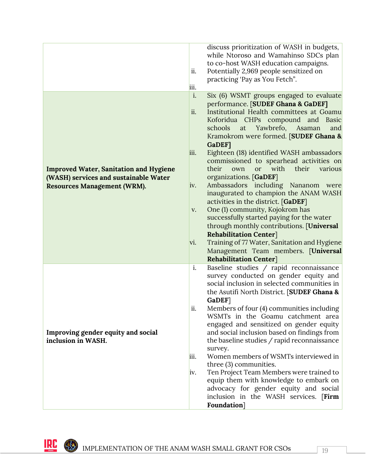|                                                                                                                              | discuss prioritization of WASH in budgets,<br>while Ntoroso and Wamahinso SDCs plan<br>to co-host WASH education campaigns.<br>Potentially 2,969 people sensitized on<br>ii.<br>practicing 'Pay as You Fetch".<br>iii.                                                                                                                                                                                                                                                                                                                                                                                                                                                                                                                                                                                                                                                                                    |
|------------------------------------------------------------------------------------------------------------------------------|-----------------------------------------------------------------------------------------------------------------------------------------------------------------------------------------------------------------------------------------------------------------------------------------------------------------------------------------------------------------------------------------------------------------------------------------------------------------------------------------------------------------------------------------------------------------------------------------------------------------------------------------------------------------------------------------------------------------------------------------------------------------------------------------------------------------------------------------------------------------------------------------------------------|
| <b>Improved Water, Sanitation and Hygiene</b><br>(WASH) services and sustainable Water<br><b>Resources Management (WRM).</b> | i.<br>Six (6) WSMT groups engaged to evaluate<br>performance. [SUDEF Ghana & GaDEF]<br>ii.<br>Institutional Health committees at Goamu<br>Koforidua CHPs compound and Basic<br>schools<br>Yawbrefo,<br>at<br>Asaman<br>and<br>Kramokrom were formed. [SUDEF Ghana &<br><b>GaDEF1</b><br>Eighteen (18) identified WASH ambassadors<br>iii.<br>commissioned to spearhead activities on<br>with<br>their<br>various<br>their<br>own<br><b>or</b><br>organizations. [GaDEF]<br>Ambassadors including Nananom were<br>IV.<br>inaugurated to champion the ANAM WASH<br>activities in the district. [GaDEF]<br>One (1) community, Kojokrom has<br>V.<br>successfully started paying for the water<br>through monthly contributions. [Universal<br><b>Rehabilitation Center</b> ]<br>Training of 77 Water, Sanitation and Hygiene<br>vi.<br>Management Team members. [Universal<br><b>Rehabilitation Center</b> ] |
| Improving gender equity and social<br>inclusion in WASH.                                                                     | Baseline studies / rapid reconnaissance<br>i.<br>survey conducted on gender equity and<br>social inclusion in selected communities in<br>the Asutifi North District. [SUDEF Ghana &<br>GaDEF]<br>Members of four (4) communities including<br>ii.<br>WSMTs in the Goamu catchment area<br>engaged and sensitized on gender equity<br>and social inclusion based on findings from<br>the baseline studies / rapid reconnaissance<br>survey.<br>Women members of WSMTs interviewed in<br>iii.<br>three (3) communities.<br>Ten Project Team Members were trained to<br> 1V <br>equip them with knowledge to embark on<br>advocacy for gender equity and social<br>inclusion in the WASH services. [Firm<br>Foundation]                                                                                                                                                                                      |